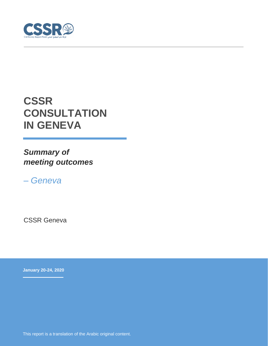

# **CSSR CONSULTATION IN GENEVA**

*Summary of meeting outcomes*

*– Geneva*

CSSR Geneva

**January 20-24, 2020**

This report is a translation of the Arabic original content.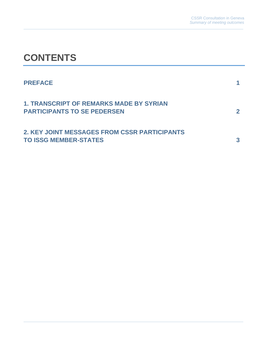# **CONTENTS**

| <b>PREFACE</b>                                                                       |  |
|--------------------------------------------------------------------------------------|--|
| <b>1. TRANSCRIPT OF REMARKS MADE BY SYRIAN</b><br><b>PARTICIPANTS TO SE PEDERSEN</b> |  |
| 2. KEY JOINT MESSAGES FROM CSSR PARTICIPANTS<br><b>TO ISSG MEMBER-STATES</b>         |  |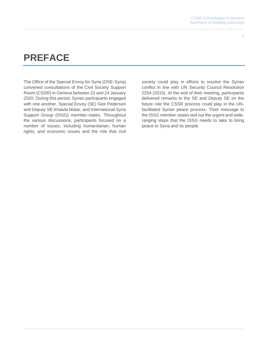## **PREFACE**

The Office of the Special Envoy for Syria (OSE-Syria) convened consultations of the Civil Society Support Room (CSSR) in Geneva between 22 and 24 January 2020. During this period, Syrian participants engaged with one another, Special Envoy (SE) Geir Pedersen and Deputy SE Khawla Matar, and International Syria Support Group (ISSG) member-states. Throughout the various discussions, participants focused on a number of issues, including humanitarian, human rights, and economic issues and the role that civil

society could play in efforts to resolve the Syrian conflict in line with UN Security Council Resolution 2254 (2015). At the end of their meeting, participants delivered remarks to the SE and Deputy SE on the future role the CSSR process could play in the UNfacilitated Syrian peace process. Their message to the ISSG member-states laid out the urgent and wideranging steps that the ISSG needs to take to bring peace to Syria and its people.

1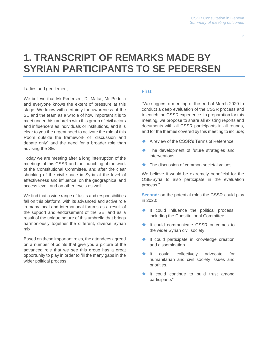## **1. TRANSCRIPT OF REMARKS MADE BY SYRIAN PARTICIPANTS TO SE PEDERSEN**

Ladies and gentlemen,

We believe that Mr Pedersen, Dr Matar, Mr Pedulla and everyone knows the extent of pressure at this stage. We know with certainty the awareness of the SE and the team as a whole of how important it is to meet under this umbrella with this group of civil actors and influencers as individuals or institutions, and it is clear to you the urgent need to activate the role of this Room outside the framework of "discussion and debate only" and the need for a broader role than advising the SE.

Today we are meeting after a long interruption of the meetings of this CSSR and the launching of the work of the Constitutional Committee, and after the clear shrinking of the civil space in Syria at the level of effectiveness and influence, on the geographical and access level, and on other levels as well.

We find that a wide range of tasks and responsibilities fall on this platform, with its advanced and active role in many local and international forums as a result of the support and endorsement of the SE, and as a result of the unique nature of this umbrella that brings harmoniously together the different, diverse Syrian mix.

Based on these important roles, the attendees agreed on a number of points that give you a picture of the advanced role that we see this group has a great opportunity to play in order to fill the many gaps in the wider political process.

### **First:**

"We suggest a meeting at the end of March 2020 to conduct a deep evaluation of the CSSR process and to enrich the CSSR experience. In preparation for this meeting, we propose to share all existing reports and documents with all CSSR participants in all rounds, and for the themes covered by this meeting to include;

- A review of the CSSR's Terms of Reference.
- ◆ The development of future strategies and interventions.
- The discussion of common societal values.

We believe it would be extremely beneficial for the OSE-Syria to also participate in the evaluation process."

**Second:** on the potential roles the CSSR could play in 2020:

- ◆ It could influence the political process, including the Constitutional Committee.
- ◆ It could communicate CSSR outcomes to the wider Syrian civil society.
- ◆ It could participate in knowledge creation and dissemination
- ◆ It could collectively advocate for humanitarian and civil society issues and priorities.
- It could continue to build trust among participants"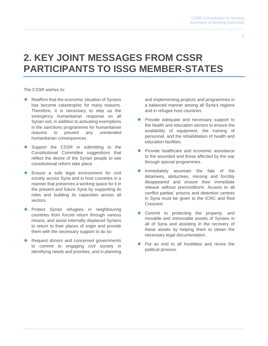### **2. KEY JOINT MESSAGES FROM CSSR PARTICIPANTS TO ISSG MEMBER-STATES**

The CSSR wishes to:

- Reaffirm that the economic situation of Syrians has become catastrophic for many reasons. Therefore, it is necessary to step up the emergency humanitarian response on all Syrian soil, in addition to activating exemptions in the sanctions programmes for humanitarian reasons to prevent any unintended humanitarian consequences.
- Support the CSSR in submitting to the Constitutional Committee suggestions that reflect the desire of the Syrian people to see constitutional reform take place.
- Ensure a safe legal environment for civil society across Syria and in host countries in a manner that preserves a working space for it in the present and future Syria by supporting its roles and building its capacities across all sectors.
- Protect Syrian refugees in neighbouring countries from forced return through various means, and assist internally displaced Syrians to return to their places of origin and provide them with the necessary support to do so.
- Request donors and concerned governments to commit to engaging civil society in identifying needs and priorities, and in planning

and implementing projects and programmes in a balanced manner among all Syria's regions and in refugee host countries.

- Provide adequate and necessary support to the health and education sectors to ensure the availability of equipment, the training of personnel, and the rehabilitation of health and education facilities.
- Provide healthcare and economic assistance to the wounded and those affected by the war through special programmes.
- Immediately ascertain the fate of the detainees, abductees, missing and forcibly disappeared and ensure their immediate release without preconditions. Access to all conflict parties' prisons and detention centres in Syria must be given to the ICRC and Red Crescent.
- Commit to protecting the property, and movable and immovable assets of Syrians in all of Syria and assisting in the recovery of these assets by helping them to obtain the necessary legal documentation.
- Put an end to all hostilities and revive the political process.